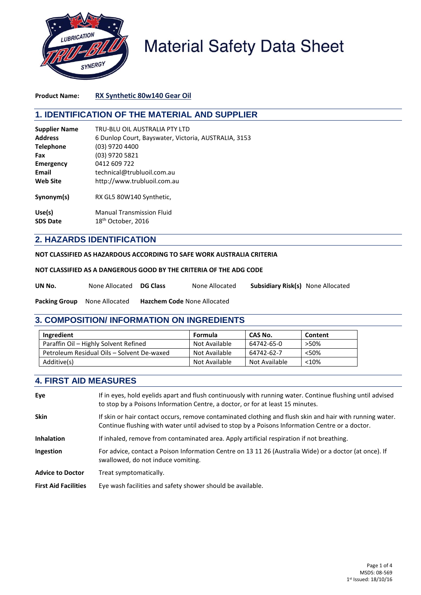

# **Material Safety Data Sheet**

**Product Name: RX Synthetic 80w140 Gear Oil**

# **1. IDENTIFICATION OF THE MATERIAL AND SUPPLIER**

| <b>Supplier Name</b>      | TRU-BLU OIL AUSTRALIA PTY LTD                                      |
|---------------------------|--------------------------------------------------------------------|
| <b>Address</b>            | 6 Dunlop Court, Bayswater, Victoria, AUSTRALIA, 3153               |
| <b>Telephone</b>          | (03) 9720 4400                                                     |
| Fax                       | (03) 9720 5821                                                     |
| <b>Emergency</b>          | 0412 609 722                                                       |
| Email                     | technical@trubluoil.com.au                                         |
| <b>Web Site</b>           | http://www.trubluoil.com.au                                        |
| Synonym(s)                | RX GL5 80W140 Synthetic,                                           |
| Use(s)<br><b>SDS Date</b> | <b>Manual Transmission Fluid</b><br>18 <sup>th</sup> October, 2016 |

## **2. HAZARDS IDENTIFICATION**

#### **NOT CLASSIFIED AS HAZARDOUS ACCORDING TO SAFE WORK AUSTRALIA CRITERIA**

|  |  |  | NOT CLASSIFIED AS A DANGEROUS GOOD BY THE CRITERIA OF THE ADG CODE |
|--|--|--|--------------------------------------------------------------------|
|--|--|--|--------------------------------------------------------------------|

| UN No. | None Allocated DG Class |  | None Allocated | <b>Subsidiary Risk(s) None Allocated</b> |  |
|--------|-------------------------|--|----------------|------------------------------------------|--|
|--------|-------------------------|--|----------------|------------------------------------------|--|

**Packing Group** None Allocated **Hazchem Code** None Allocated

## **3. COMPOSITION/ INFORMATION ON INGREDIENTS**

| Ingredient                                 | Formula       | CAS No.       | Content |
|--------------------------------------------|---------------|---------------|---------|
| Paraffin Oil - Highly Solvent Refined      | Not Available | 64742-65-0    | >50%    |
| Petroleum Residual Oils - Solvent De-waxed | Not Available | 64742-62-7    | <50%    |
| Additive(s)                                | Not Available | Not Available | $<$ 10% |

## **4. FIRST AID MEASURES**

| Eye                         | If in eyes, hold eyelids apart and flush continuously with running water. Continue flushing until advised<br>to stop by a Poisons Information Centre, a doctor, or for at least 15 minutes.                 |
|-----------------------------|-------------------------------------------------------------------------------------------------------------------------------------------------------------------------------------------------------------|
| <b>Skin</b>                 | If skin or hair contact occurs, remove contaminated clothing and flush skin and hair with running water.<br>Continue flushing with water until advised to stop by a Poisons Information Centre or a doctor. |
| <b>Inhalation</b>           | If inhaled, remove from contaminated area. Apply artificial respiration if not breathing.                                                                                                                   |
| Ingestion                   | For advice, contact a Poison Information Centre on 13 11 26 (Australia Wide) or a doctor (at once). If<br>swallowed, do not induce vomiting.                                                                |
| <b>Advice to Doctor</b>     | Treat symptomatically.                                                                                                                                                                                      |
| <b>First Aid Facilities</b> | Eye wash facilities and safety shower should be available.                                                                                                                                                  |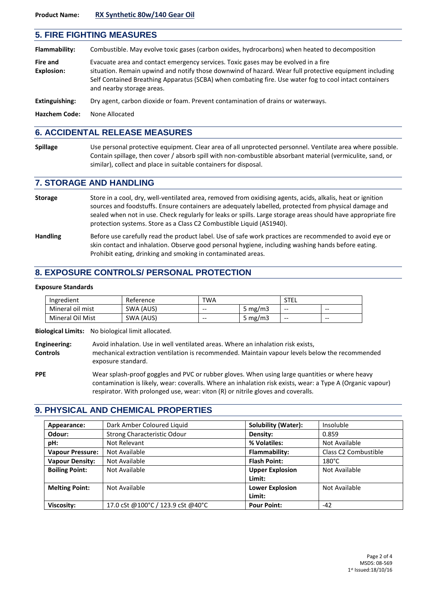# **5. FIRE FIGHTING MEASURES Flammability:** Combustible. May evolve toxic gases (carbon oxides, hydrocarbons) when heated to decomposition **Fire and** Evacuate area and contact emergency services. Toxic gases may be evolved in a fire **Explosion:** situation. Remain upwind and notify those downwind of hazard. Wear full protective equipment including Self Contained Breathing Apparatus (SCBA) when combating fire. Use water fog to cool intact containers and nearby storage areas. **Extinguishing:** Dry agent, carbon dioxide or foam. Prevent contamination of drains or waterways. **Hazchem Code:** None Allocated

#### **6. ACCIDENTAL RELEASE MEASURES**

**Spillage** Use personal protective equipment. Clear area of all unprotected personnel. Ventilate area where possible. Contain spillage, then cover / absorb spill with non-combustible absorbant material (vermiculite, sand, or similar), collect and place in suitable containers for disposal.

#### **7. STORAGE AND HANDLING**

- **Storage** Store in a cool, dry, well-ventilated area, removed from oxidising agents, acids, alkalis, heat or ignition sources and foodstuffs. Ensure containers are adequately labelled, protected from physical damage and sealed when not in use. Check regularly for leaks or spills. Large storage areas should have appropriate fire protection systems. Store as a Class C2 Combustible Liquid (AS1940).
- **Handling** Before use carefully read the product label. Use of safe work practices are recommended to avoid eye or skin contact and inhalation. Observe good personal hygiene, including washing hands before eating. Prohibit eating, drinking and smoking in contaminated areas.

## **8. EXPOSURE CONTROLS/ PERSONAL PROTECTION**

#### **Exposure Standards**

| Ingredient       | Reference | TWA   |            | <b>STEL</b> |     |
|------------------|-----------|-------|------------|-------------|-----|
| Mineral oil mist | SWA (AUS) | $- -$ | 5 mg/m $3$ | --          | --  |
| Mineral Oil Mist | SWA (AUS) | $- -$ | 5 mg/m $3$ | --          | $-$ |

**Biological Limits:** No biological limit allocated.

```
Engineering: Avoid inhalation. Use in well ventilated areas. Where an inhalation risk exists, 
Controls mechanical extraction ventilation is recommended. Maintain vapour levels below the recommended 
                  exposure standard.
```
PPE Wear splash-proof goggles and PVC or rubber gloves. When using large quantities or where heavy contamination is likely, wear: coveralls. Where an inhalation risk exists, wear: a Type A (Organic vapour) respirator. With prolonged use, wear: viton (R) or nitrile gloves and coveralls.

## **9. PHYSICAL AND CHEMICAL PROPERTIES**

| Appearance:             | Dark Amber Coloured Liquid        | Solubility (Water):    | Insoluble                        |
|-------------------------|-----------------------------------|------------------------|----------------------------------|
| Odour:                  | Strong Characteristic Odour       | Density:               | 0.859                            |
| pH:                     | Not Relevant                      | % Volatiles:           | Not Available                    |
| <b>Vapour Pressure:</b> | Not Available                     | Flammability:          | Class C <sub>2</sub> Combustible |
| <b>Vapour Density:</b>  | Not Available                     | <b>Flash Point:</b>    | $180^{\circ}$ C                  |
| <b>Boiling Point:</b>   | Not Available                     | <b>Upper Explosion</b> | Not Available                    |
|                         |                                   | Limit:                 |                                  |
| <b>Melting Point:</b>   | Not Available                     | <b>Lower Explosion</b> | Not Available                    |
|                         |                                   | Limit:                 |                                  |
| Viscosity:              | 17.0 cSt @100°C / 123.9 cSt @40°C | <b>Pour Point:</b>     | $-42$                            |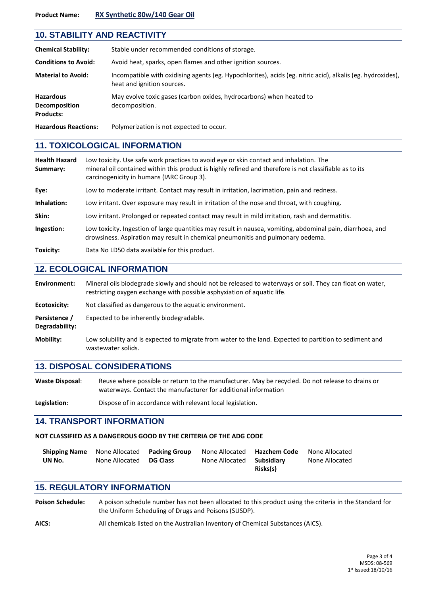#### **Product Name: RX Synthetic 80w/140 Gear Oil**

|                                                              | <b>10. STABILITY AND REACTIVITY</b>                                                                                                      |  |  |  |  |
|--------------------------------------------------------------|------------------------------------------------------------------------------------------------------------------------------------------|--|--|--|--|
| <b>Chemical Stability:</b>                                   | Stable under recommended conditions of storage.                                                                                          |  |  |  |  |
| <b>Conditions to Avoid:</b>                                  | Avoid heat, sparks, open flames and other ignition sources.                                                                              |  |  |  |  |
| <b>Material to Avoid:</b>                                    | Incompatible with oxidising agents (eg. Hypochlorites), acids (eg. nitric acid), alkalis (eg. hydroxides),<br>heat and ignition sources. |  |  |  |  |
| <b>Hazardous</b><br><b>Decomposition</b><br><b>Products:</b> | May evolve toxic gases (carbon oxides, hydrocarbons) when heated to<br>decomposition.                                                    |  |  |  |  |
| <b>Hazardous Reactions:</b>                                  | Polymerization is not expected to occur.                                                                                                 |  |  |  |  |

#### **11. TOXICOLOGICAL INFORMATION**

| <b>Health Hazard</b><br>Summary: | Low toxicity. Use safe work practices to avoid eye or skin contact and inhalation. The<br>mineral oil contained within this product is highly refined and therefore is not classifiable as to its<br>carcinogenicity in humans (IARC Group 3). |
|----------------------------------|------------------------------------------------------------------------------------------------------------------------------------------------------------------------------------------------------------------------------------------------|
| Eye:                             | Low to moderate irritant. Contact may result in irritation, lacrimation, pain and redness.                                                                                                                                                     |
| Inhalation:                      | Low irritant. Over exposure may result in irritation of the nose and throat, with coughing.                                                                                                                                                    |
| Skin:                            | Low irritant. Prolonged or repeated contact may result in mild irritation, rash and dermatitis.                                                                                                                                                |
| Ingestion:                       | Low toxicity. Ingestion of large quantities may result in nausea, vomiting, abdominal pain, diarrhoea, and<br>drowsiness. Aspiration may result in chemical pneumonitis and pulmonary oedema.                                                  |
| Toxicity:                        | Data No LD50 data available for this product.                                                                                                                                                                                                  |

#### **12. ECOLOGICAL INFORMATION**

**Environment:** Mineral oils biodegrade slowly and should not be released to waterways or soil. They can float on water, restricting oxygen exchange with possible asphyxiation of aquatic life. **Ecotoxicity:** Not classified as dangerous to the aquatic environment. **Persistence /** Expected to be inherently biodegradable. **Degradability: Mobility:** Low solubility and is expected to migrate from water to the land. Expected to partition to sediment and wastewater solids.

#### **13. DISPOSAL CONSIDERATIONS**

**Waste Disposal**: Reuse where possible or return to the manufacturer. May be recycled. Do not release to drains or waterways. Contact the manufacturer for additional information

**Legislation**: Dispose of in accordance with relevant local legislation.

#### **14. TRANSPORT INFORMATION**

#### **NOT CLASSIFIED AS A DANGEROUS GOOD BY THE CRITERIA OF THE ADG CODE**

| <b>Shipping Name</b> | None Allocated | Packing Group   | None Allocated <b>Hazchem Code</b> |          | None Allocated |
|----------------------|----------------|-----------------|------------------------------------|----------|----------------|
| UN No.               | None Allocated | <b>DG Class</b> | None Allocated <b>Subsidiary</b>   |          | None Allocated |
|                      |                |                 |                                    | Risks(s) |                |

## **15. REGULATORY INFORMATION**

**Poison Schedule:** A poison schedule number has not been allocated to this product using the criteria in the Standard for the Uniform Scheduling of Drugs and Poisons (SUSDP).

**AICS:** All chemicals listed on the Australian Inventory of Chemical Substances (AICS).